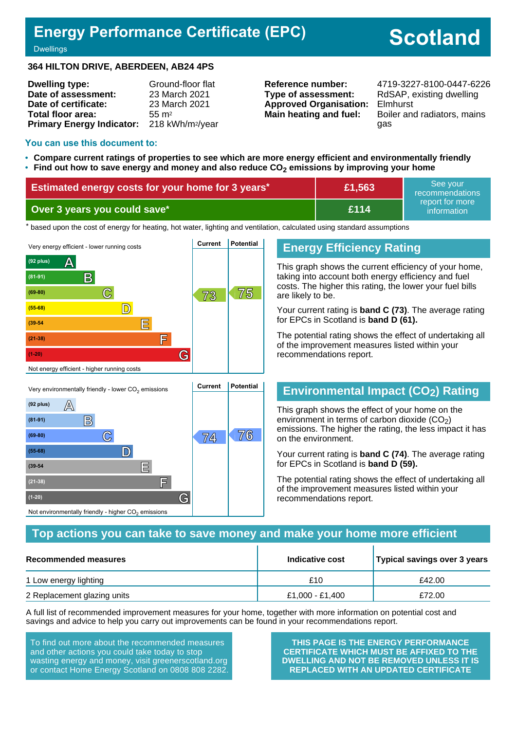## **Energy Performance Certificate (EPC)**

# **Scotland**

**Dwellings** 

#### **364 HILTON DRIVE, ABERDEEN, AB24 4PS**

| <b>Dwelling type:</b>            | Ground-floor flat            |
|----------------------------------|------------------------------|
| Date of assessment:              | 23 March 2021                |
| Date of certificate:             | 23 March 2021                |
| Total floor area:                | $55 \text{ m}^2$             |
| <b>Primary Energy Indicator:</b> | 218 kWh/m <sup>2</sup> /year |

**Type of assessment:** RdSAP, existing dwelling **Approved Organisation:** Elmhurst

**Reference number:** 4719-3227-8100-0447-6226 **Main heating and fuel:** Boiler and radiators, mains gas

#### **You can use this document to:**

- **Compare current ratings of properties to see which are more energy efficient and environmentally friendly**
- **Find out how to save energy and money and also reduce CO2 emissions by improving your home**

| Estimated energy costs for your home for 3 years* | £1,563 | See vour<br>recommendations                  |
|---------------------------------------------------|--------|----------------------------------------------|
| Over 3 years you could save*                      | £114   | ∟report for more <sup>।</sup><br>information |

the based upon the cost of energy for heating, hot water, lighting and ventilation, calculated using standard assumptions



#### **Energy Efficiency Rating**

This graph shows the current efficiency of your home, taking into account both energy efficiency and fuel costs. The higher this rating, the lower your fuel bills are likely to be.

Your current rating is **band C (73)**. The average rating for EPCs in Scotland is **band D (61).**

The potential rating shows the effect of undertaking all of the improvement measures listed within your recommendations report.

## **Environmental Impact (CO2) Rating**

This graph shows the effect of your home on the environment in terms of carbon dioxide  $(CO<sub>2</sub>)$ emissions. The higher the rating, the less impact it has on the environment.

Your current rating is **band C (74)**. The average rating for EPCs in Scotland is **band D (59).**

The potential rating shows the effect of undertaking all of the improvement measures listed within your recommendations report.

#### **Top actions you can take to save money and make your home more efficient**

| Recommended measures        | Indicative cost | Typical savings over 3 years |
|-----------------------------|-----------------|------------------------------|
| 1 Low energy lighting       | £10             | £42.00                       |
| 2 Replacement glazing units | £1,000 - £1,400 | £72.00                       |

A full list of recommended improvement measures for your home, together with more information on potential cost and savings and advice to help you carry out improvements can be found in your recommendations report.

To find out more about the recommended measures and other actions you could take today to stop wasting energy and money, visit greenerscotland.org or contact Home Energy Scotland on 0808 808 2282.

**(1-20) G**

Not environmentally friendly - higher  $\mathrm{CO}_2$  emissions

**THIS PAGE IS THE ENERGY PERFORMANCE CERTIFICATE WHICH MUST BE AFFIXED TO THE DWELLING AND NOT BE REMOVED UNLESS IT IS REPLACED WITH AN UPDATED CERTIFICATE**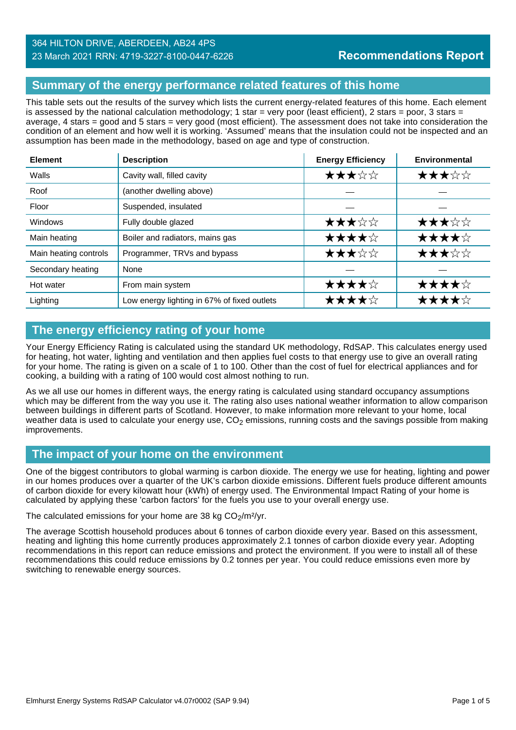#### **Summary of the energy performance related features of this home**

This table sets out the results of the survey which lists the current energy-related features of this home. Each element is assessed by the national calculation methodology; 1 star = very poor (least efficient), 2 stars = poor, 3 stars = average, 4 stars = good and 5 stars = very good (most efficient). The assessment does not take into consideration the condition of an element and how well it is working. 'Assumed' means that the insulation could not be inspected and an assumption has been made in the methodology, based on age and type of construction.

| <b>Element</b>        | <b>Description</b>                          | <b>Energy Efficiency</b> | <b>Environmental</b> |
|-----------------------|---------------------------------------------|--------------------------|----------------------|
| Walls                 | Cavity wall, filled cavity                  | ★★★☆☆                    | ★★★☆☆                |
| Roof                  | (another dwelling above)                    |                          |                      |
| Floor                 | Suspended, insulated                        |                          |                      |
| <b>Windows</b>        | Fully double glazed                         | ★★★☆☆                    | ★★★☆☆                |
| Main heating          | Boiler and radiators, mains gas             | ★★★★☆                    | ★★★★☆                |
| Main heating controls | Programmer, TRVs and bypass                 | ★★★☆☆                    | ★★★☆☆                |
| Secondary heating     | None                                        |                          |                      |
| Hot water             | From main system                            | ★★★★☆                    | ★★★★☆                |
| Lighting              | Low energy lighting in 67% of fixed outlets | ★★★★☆                    | ★★★★☆                |

## **The energy efficiency rating of your home**

Your Energy Efficiency Rating is calculated using the standard UK methodology, RdSAP. This calculates energy used for heating, hot water, lighting and ventilation and then applies fuel costs to that energy use to give an overall rating for your home. The rating is given on a scale of 1 to 100. Other than the cost of fuel for electrical appliances and for cooking, a building with a rating of 100 would cost almost nothing to run.

As we all use our homes in different ways, the energy rating is calculated using standard occupancy assumptions which may be different from the way you use it. The rating also uses national weather information to allow comparison between buildings in different parts of Scotland. However, to make information more relevant to your home, local weather data is used to calculate your energy use,  $CO<sub>2</sub>$  emissions, running costs and the savings possible from making improvements.

## **The impact of your home on the environment**

One of the biggest contributors to global warming is carbon dioxide. The energy we use for heating, lighting and power in our homes produces over a quarter of the UK's carbon dioxide emissions. Different fuels produce different amounts of carbon dioxide for every kilowatt hour (kWh) of energy used. The Environmental Impact Rating of your home is calculated by applying these 'carbon factors' for the fuels you use to your overall energy use.

The calculated emissions for your home are 38 kg  $CO<sub>2</sub>/m<sup>2</sup>/yr$ .

The average Scottish household produces about 6 tonnes of carbon dioxide every year. Based on this assessment, heating and lighting this home currently produces approximately 2.1 tonnes of carbon dioxide every year. Adopting recommendations in this report can reduce emissions and protect the environment. If you were to install all of these recommendations this could reduce emissions by 0.2 tonnes per year. You could reduce emissions even more by switching to renewable energy sources.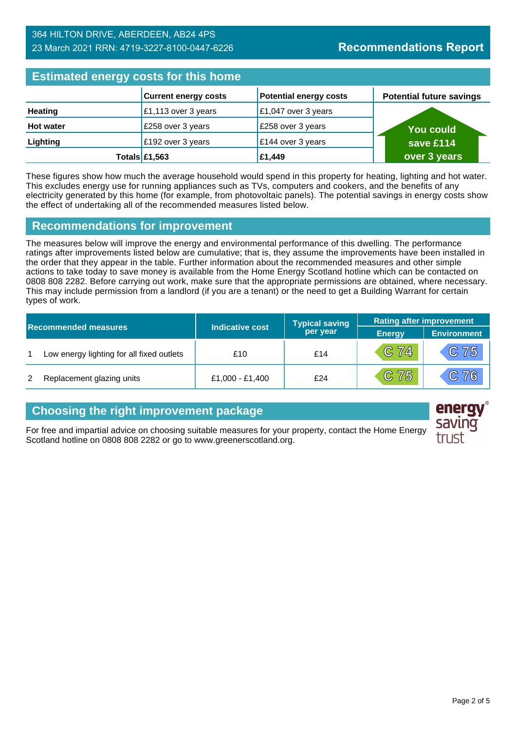## **Estimated energy costs for this home**

| Editional and all and the contract of the second second the second second the second second second second second second second second second second second second second second second second second second second second seco |                                |                               |                                 |  |
|--------------------------------------------------------------------------------------------------------------------------------------------------------------------------------------------------------------------------------|--------------------------------|-------------------------------|---------------------------------|--|
|                                                                                                                                                                                                                                | <b>Current energy costs</b>    | <b>Potential energy costs</b> | <b>Potential future savings</b> |  |
| <b>Heating</b>                                                                                                                                                                                                                 | $\mathsf{E}1,113$ over 3 years | £1,047 over 3 years           |                                 |  |
| <b>Hot water</b>                                                                                                                                                                                                               | £258 over 3 years              | £258 over 3 years             | <b>You could</b>                |  |
| Lighting                                                                                                                                                                                                                       | £192 over 3 years              | £144 over 3 years             | save £114                       |  |
|                                                                                                                                                                                                                                | Totals $£1,563$                | £1,449                        | over 3 years                    |  |

These figures show how much the average household would spend in this property for heating, lighting and hot water. This excludes energy use for running appliances such as TVs, computers and cookers, and the benefits of any electricity generated by this home (for example, from photovoltaic panels). The potential savings in energy costs show the effect of undertaking all of the recommended measures listed below.

#### **Recommendations for improvement**

The measures below will improve the energy and environmental performance of this dwelling. The performance ratings after improvements listed below are cumulative; that is, they assume the improvements have been installed in the order that they appear in the table. Further information about the recommended measures and other simple actions to take today to save money is available from the Home Energy Scotland hotline which can be contacted on 0808 808 2282. Before carrying out work, make sure that the appropriate permissions are obtained, where necessary. This may include permission from a landlord (if you are a tenant) or the need to get a Building Warrant for certain types of work.

| <b>Recommended measures</b> |                                           |                        | <b>Typical saving</b> | <b>Rating after improvement</b> |                    |
|-----------------------------|-------------------------------------------|------------------------|-----------------------|---------------------------------|--------------------|
|                             |                                           | <b>Indicative cost</b> | per year              | <b>Energy</b>                   | <b>Environment</b> |
|                             | Low energy lighting for all fixed outlets | £10                    | £14                   | $C$ 74                          | $\overline{C}$ 75  |
| 2                           | Replacement glazing units                 | £1,000 - £1,400        | £24                   | $C$ 75                          | C76                |

## **Choosing the right improvement package**

For free and impartial advice on choosing suitable measures for your property, contact the Home Energy Scotland hotline on 0808 808 2282 or go to www.greenerscotland.org.

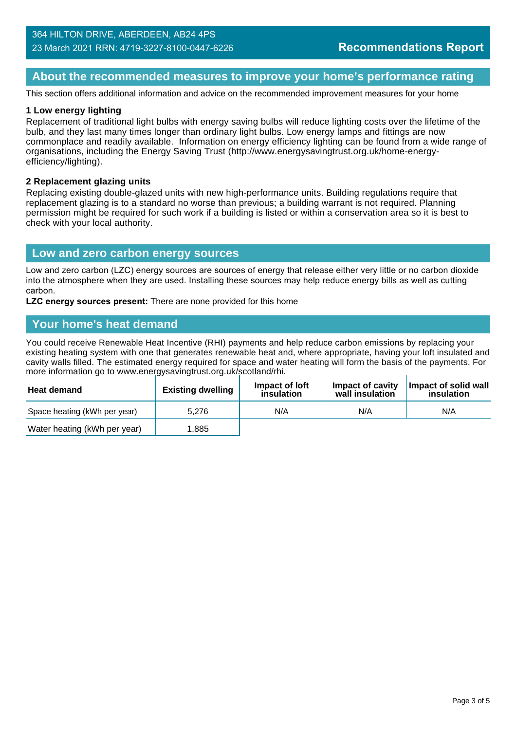#### **About the recommended measures to improve your home's performance rating**

This section offers additional information and advice on the recommended improvement measures for your home

#### **1 Low energy lighting**

Replacement of traditional light bulbs with energy saving bulbs will reduce lighting costs over the lifetime of the bulb, and they last many times longer than ordinary light bulbs. Low energy lamps and fittings are now commonplace and readily available. Information on energy efficiency lighting can be found from a wide range of organisations, including the Energy Saving Trust (http://www.energysavingtrust.org.uk/home-energyefficiency/lighting).

#### **2 Replacement glazing units**

Replacing existing double-glazed units with new high-performance units. Building regulations require that replacement glazing is to a standard no worse than previous; a building warrant is not required. Planning permission might be required for such work if a building is listed or within a conservation area so it is best to check with your local authority.

#### **Low and zero carbon energy sources**

Low and zero carbon (LZC) energy sources are sources of energy that release either very little or no carbon dioxide into the atmosphere when they are used. Installing these sources may help reduce energy bills as well as cutting carbon.

**LZC energy sources present:** There are none provided for this home

#### **Your home's heat demand**

You could receive Renewable Heat Incentive (RHI) payments and help reduce carbon emissions by replacing your existing heating system with one that generates renewable heat and, where appropriate, having your loft insulated and cavity walls filled. The estimated energy required for space and water heating will form the basis of the payments. For more information go to www.energysavingtrust.org.uk/scotland/rhi.

| <b>Heat demand</b>           | <b>Existing dwelling</b> | Impact of Joft<br>insulation | Impact of cavity<br>wall insulation | Impact of solid wall<br>insulation |
|------------------------------|--------------------------|------------------------------|-------------------------------------|------------------------------------|
| Space heating (kWh per year) | 5.276                    | N/A                          | N/A                                 | N/A                                |
| Water heating (kWh per year) | .885                     |                              |                                     |                                    |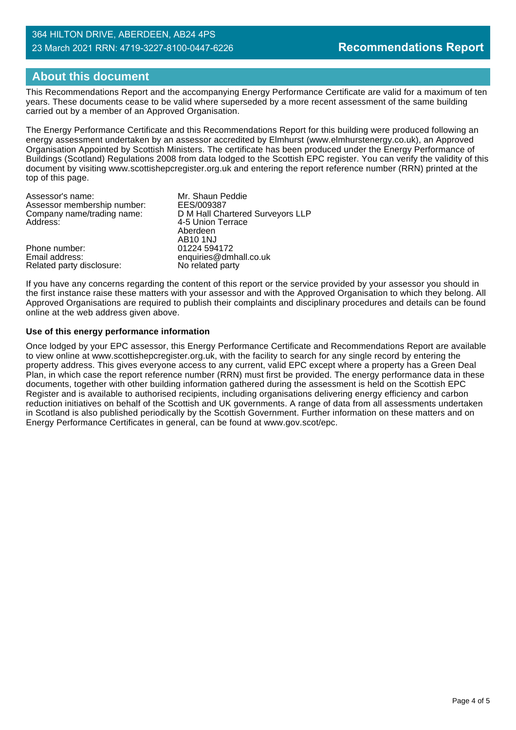#### 364 HILTON DRIVE, ABERDEEN, AB24 4PS 23 March 2021 RRN: 4719-3227-8100-0447-6226

## **About this document**

This Recommendations Report and the accompanying Energy Performance Certificate are valid for a maximum of ten years. These documents cease to be valid where superseded by a more recent assessment of the same building carried out by a member of an Approved Organisation.

The Energy Performance Certificate and this Recommendations Report for this building were produced following an energy assessment undertaken by an assessor accredited by Elmhurst (www.elmhurstenergy.co.uk), an Approved Organisation Appointed by Scottish Ministers. The certificate has been produced under the Energy Performance of Buildings (Scotland) Regulations 2008 from data lodged to the Scottish EPC register. You can verify the validity of this document by visiting www.scottishepcregister.org.uk and entering the report reference number (RRN) printed at the top of this page.

| Assessor's name:            | Mr. Shaun Peddie                 |
|-----------------------------|----------------------------------|
| Assessor membership number: | EES/009387                       |
| Company name/trading name:  | D M Hall Chartered Surveyors LLP |
| Address:                    | 4-5 Union Terrace                |
|                             | Aberdeen                         |
|                             | <b>AB10 1NJ</b>                  |
| Phone number:               | 01224 594172                     |
| Email address:              | enquiries@dmhall.co.uk           |
| Related party disclosure:   | No related party                 |

If you have any concerns regarding the content of this report or the service provided by your assessor you should in the first instance raise these matters with your assessor and with the Approved Organisation to which they belong. All Approved Organisations are required to publish their complaints and disciplinary procedures and details can be found online at the web address given above.

#### **Use of this energy performance information**

Once lodged by your EPC assessor, this Energy Performance Certificate and Recommendations Report are available to view online at www.scottishepcregister.org.uk, with the facility to search for any single record by entering the property address. This gives everyone access to any current, valid EPC except where a property has a Green Deal Plan, in which case the report reference number (RRN) must first be provided. The energy performance data in these documents, together with other building information gathered during the assessment is held on the Scottish EPC Register and is available to authorised recipients, including organisations delivering energy efficiency and carbon reduction initiatives on behalf of the Scottish and UK governments. A range of data from all assessments undertaken in Scotland is also published periodically by the Scottish Government. Further information on these matters and on Energy Performance Certificates in general, can be found at www.gov.scot/epc.